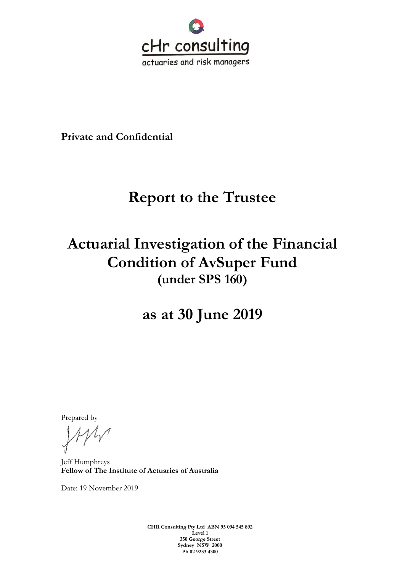

**Private and Confidential**

# **Report to the Trustee**

# **Actuarial Investigation of the Financial Condition of AvSuper Fund (under SPS 160)**

**as at 30 June 2019**

Prepared by

Jeff Humphreys **Fellow of The Institute of Actuaries of Australia**

Date: 19 November 2019

**CHR Consulting Pty Ltd ABN 95 094 545 892 Level 1 350 George Street Sydney NSW 2000 Ph 02 9233 4300**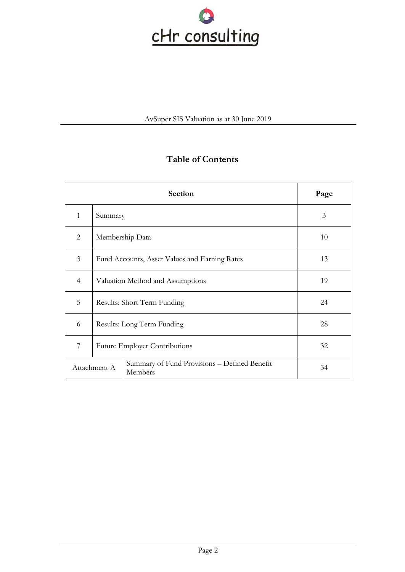

# **Table of Contents**

| <b>Section</b>                                                          |                                               |                 | Page |
|-------------------------------------------------------------------------|-----------------------------------------------|-----------------|------|
| $\mathbf{1}$                                                            | Summary                                       |                 | 3    |
| 2                                                                       |                                               | Membership Data | 10   |
| 3                                                                       | Fund Accounts, Asset Values and Earning Rates |                 | 13   |
| $\overline{4}$                                                          | Valuation Method and Assumptions              |                 | 19   |
| 5                                                                       | Results: Short Term Funding                   |                 | 24   |
| 6                                                                       | Results: Long Term Funding                    |                 | 28   |
| 7                                                                       | <b>Future Employer Contributions</b>          |                 | 32   |
| Summary of Fund Provisions - Defined Benefit<br>Attachment A<br>Members |                                               | 34              |      |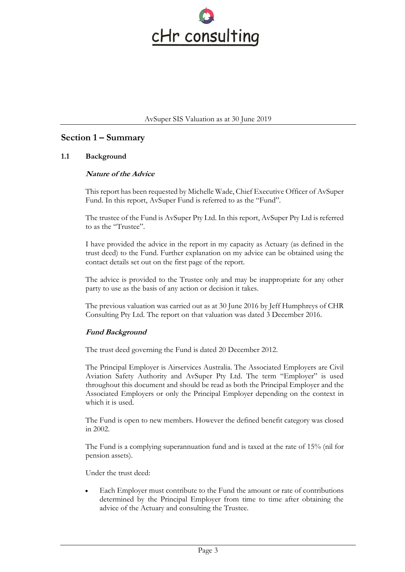

# **Section 1 – Summary**

# **1.1 Background**

# **Nature of the Advice**

This report has been requested by Michelle Wade, Chief Executive Officer of AvSuper Fund. In this report, AvSuper Fund is referred to as the "Fund".

The trustee of the Fund is AvSuper Pty Ltd. In this report, AvSuper Pty Ltd is referred to as the "Trustee".

I have provided the advice in the report in my capacity as Actuary (as defined in the trust deed) to the Fund. Further explanation on my advice can be obtained using the contact details set out on the first page of the report.

The advice is provided to the Trustee only and may be inappropriate for any other party to use as the basis of any action or decision it takes.

The previous valuation was carried out as at 30 June 2016 by Jeff Humphreys of CHR Consulting Pty Ltd. The report on that valuation was dated 3 December 2016.

# **Fund Background**

The trust deed governing the Fund is dated 20 December 2012.

The Principal Employer is Airservices Australia. The Associated Employers are Civil Aviation Safety Authority and AvSuper Pty Ltd. The term "Employer" is used throughout this document and should be read as both the Principal Employer and the Associated Employers or only the Principal Employer depending on the context in which it is used.

The Fund is open to new members. However the defined benefit category was closed in 2002.

The Fund is a complying superannuation fund and is taxed at the rate of 15% (nil for pension assets).

Under the trust deed:

• Each Employer must contribute to the Fund the amount or rate of contributions determined by the Principal Employer from time to time after obtaining the advice of the Actuary and consulting the Trustee.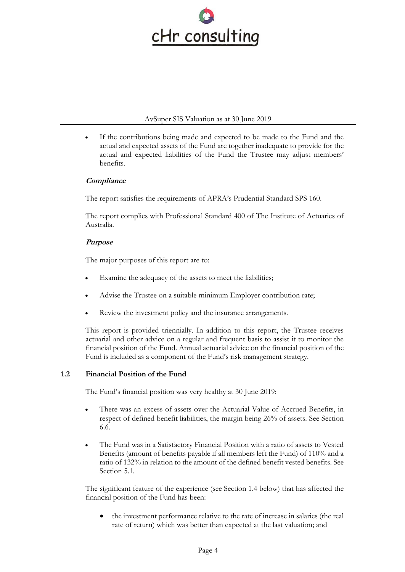

If the contributions being made and expected to be made to the Fund and the actual and expected assets of the Fund are together inadequate to provide for the actual and expected liabilities of the Fund the Trustee may adjust members' benefits.

# **Compliance**

The report satisfies the requirements of APRA's Prudential Standard SPS 160.

The report complies with Professional Standard 400 of The Institute of Actuaries of Australia.

# **Purpose**

The major purposes of this report are to:

- Examine the adequacy of the assets to meet the liabilities;
- Advise the Trustee on a suitable minimum Employer contribution rate;
- Review the investment policy and the insurance arrangements.

This report is provided triennially. In addition to this report, the Trustee receives actuarial and other advice on a regular and frequent basis to assist it to monitor the financial position of the Fund. Annual actuarial advice on the financial position of the Fund is included as a component of the Fund's risk management strategy.

# **1.2 Financial Position of the Fund**

The Fund's financial position was very healthy at 30 June 2019:

- There was an excess of assets over the Actuarial Value of Accrued Benefits, in respect of defined benefit liabilities, the margin being 26% of assets. See Section 6.6.
- The Fund was in a Satisfactory Financial Position with a ratio of assets to Vested Benefits (amount of benefits payable if all members left the Fund) of 110% and a ratio of 132% in relation to the amount of the defined benefit vested benefits. See Section 5.1.

The significant feature of the experience (see Section 1.4 below) that has affected the financial position of the Fund has been:

• the investment performance relative to the rate of increase in salaries (the real rate of return) which was better than expected at the last valuation; and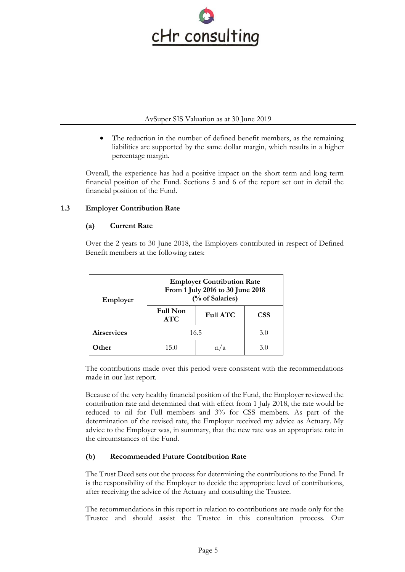

• The reduction in the number of defined benefit members, as the remaining liabilities are supported by the same dollar margin, which results in a higher percentage margin.

Overall, the experience has had a positive impact on the short term and long term financial position of the Fund. Sections 5 and 6 of the report set out in detail the financial position of the Fund.

# **1.3 Employer Contribution Rate**

# **(a) Current Rate**

Over the 2 years to 30 June 2018, the Employers contributed in respect of Defined Benefit members at the following rates:

| Employer           | <b>Employer Contribution Rate</b><br>From 1 July 2016 to 30 June 2018<br>(% of Salaries) |                 |            |
|--------------------|------------------------------------------------------------------------------------------|-----------------|------------|
|                    | <b>Full Non</b><br><b>ATC</b>                                                            | <b>Full ATC</b> | <b>CSS</b> |
| <b>Airservices</b> | 16.5<br>3.0                                                                              |                 |            |
| 0ther              | 15.0                                                                                     |                 | 3.0        |

The contributions made over this period were consistent with the recommendations made in our last report.

Because of the very healthy financial position of the Fund, the Employer reviewed the contribution rate and determined that with effect from 1 July 2018, the rate would be reduced to nil for Full members and 3% for CSS members. As part of the determination of the revised rate, the Employer received my advice as Actuary. My advice to the Employer was, in summary, that the new rate was an appropriate rate in the circumstances of the Fund.

# **(b) Recommended Future Contribution Rate**

The Trust Deed sets out the process for determining the contributions to the Fund. It is the responsibility of the Employer to decide the appropriate level of contributions, after receiving the advice of the Actuary and consulting the Trustee.

The recommendations in this report in relation to contributions are made only for the Trustee and should assist the Trustee in this consultation process. Our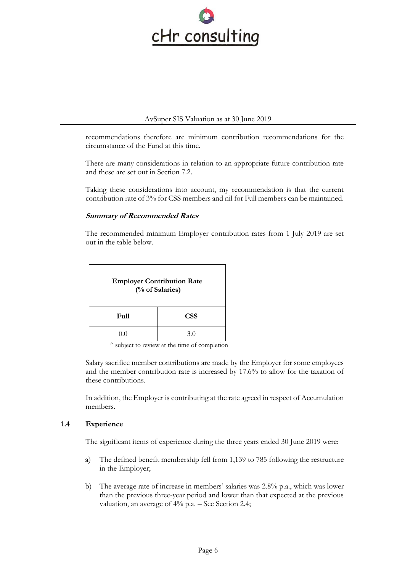

recommendations therefore are minimum contribution recommendations for the circumstance of the Fund at this time.

There are many considerations in relation to an appropriate future contribution rate and these are set out in Section 7.2.

Taking these considerations into account, my recommendation is that the current contribution rate of 3% for CSS members and nil for Full members can be maintained.

#### **Summary of Recommended Rates**

The recommended minimum Employer contribution rates from 1 July 2019 are set out in the table below.

| <b>Employer Contribution Rate</b><br>(% of Salaries) |     |  |  |
|------------------------------------------------------|-----|--|--|
| <b>CSS</b><br>Full                                   |     |  |  |
| ()()                                                 | 3.0 |  |  |

<sup>^</sup> subject to review at the time of completion

Salary sacrifice member contributions are made by the Employer for some employees and the member contribution rate is increased by 17.6% to allow for the taxation of these contributions.

In addition, the Employer is contributing at the rate agreed in respect of Accumulation members.

#### **1.4 Experience**

The significant items of experience during the three years ended 30 June 2019 were:

- a) The defined benefit membership fell from 1,139 to 785 following the restructure in the Employer;
- b) The average rate of increase in members' salaries was 2.8% p.a., which was lower than the previous three-year period and lower than that expected at the previous valuation, an average of 4% p.a. – See Section 2.4;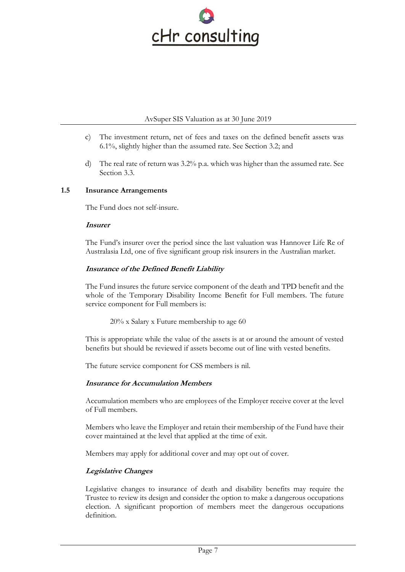

- c) The investment return, net of fees and taxes on the defined benefit assets was 6.1%, slightly higher than the assumed rate. See Section 3.2; and
- d) The real rate of return was 3.2% p.a. which was higher than the assumed rate. See Section 3.3.

#### **1.5 Insurance Arrangements**

The Fund does not self-insure.

#### **Insurer**

The Fund's insurer over the period since the last valuation was Hannover Life Re of Australasia Ltd, one of five significant group risk insurers in the Australian market.

# **Insurance of the Defined Benefit Liability**

The Fund insures the future service component of the death and TPD benefit and the whole of the Temporary Disability Income Benefit for Full members. The future service component for Full members is:

20% x Salary x Future membership to age 60

This is appropriate while the value of the assets is at or around the amount of vested benefits but should be reviewed if assets become out of line with vested benefits.

The future service component for CSS members is nil.

#### **Insurance for Accumulation Members**

Accumulation members who are employees of the Employer receive cover at the level of Full members.

Members who leave the Employer and retain their membership of the Fund have their cover maintained at the level that applied at the time of exit.

Members may apply for additional cover and may opt out of cover.

# **Legislative Changes**

Legislative changes to insurance of death and disability benefits may require the Trustee to review its design and consider the option to make a dangerous occupations election. A significant proportion of members meet the dangerous occupations definition.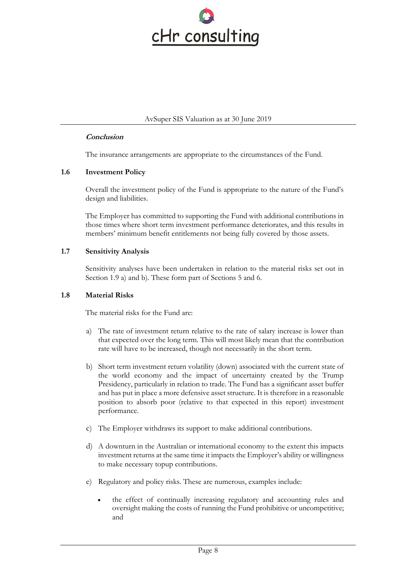

#### **Conclusion**

The insurance arrangements are appropriate to the circumstances of the Fund.

#### **1.6 Investment Policy**

Overall the investment policy of the Fund is appropriate to the nature of the Fund's design and liabilities.

The Employer has committed to supporting the Fund with additional contributions in those times where short term investment performance deteriorates, and this results in members' minimum benefit entitlements not being fully covered by those assets.

#### **1.7 Sensitivity Analysis**

Sensitivity analyses have been undertaken in relation to the material risks set out in Section 1.9 a) and b). These form part of Sections 5 and 6.

#### **1.8 Material Risks**

The material risks for the Fund are:

- a) The rate of investment return relative to the rate of salary increase is lower than that expected over the long term. This will most likely mean that the contribution rate will have to be increased, though not necessarily in the short term.
- b) Short term investment return volatility (down) associated with the current state of the world economy and the impact of uncertainty created by the Trump Presidency, particularly in relation to trade. The Fund has a significant asset buffer and has put in place a more defensive asset structure. It is therefore in a reasonable position to absorb poor (relative to that expected in this report) investment performance.
- c) The Employer withdraws its support to make additional contributions.
- d) A downturn in the Australian or international economy to the extent this impacts investment returns at the same time it impacts the Employer's ability or willingness to make necessary topup contributions.
- e) Regulatory and policy risks. These are numerous, examples include:
	- the effect of continually increasing regulatory and accounting rules and oversight making the costs of running the Fund prohibitive or uncompetitive; and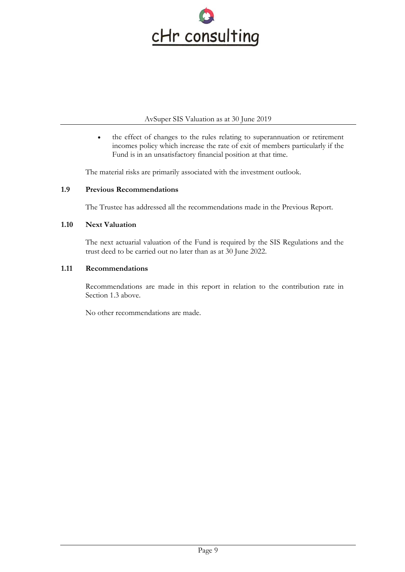

• the effect of changes to the rules relating to superannuation or retirement incomes policy which increase the rate of exit of members particularly if the Fund is in an unsatisfactory financial position at that time.

The material risks are primarily associated with the investment outlook.

# **1.9 Previous Recommendations**

The Trustee has addressed all the recommendations made in the Previous Report.

#### **1.10 Next Valuation**

The next actuarial valuation of the Fund is required by the SIS Regulations and the trust deed to be carried out no later than as at 30 June 2022.

#### **1.11 Recommendations**

Recommendations are made in this report in relation to the contribution rate in Section 1.3 above.

No other recommendations are made.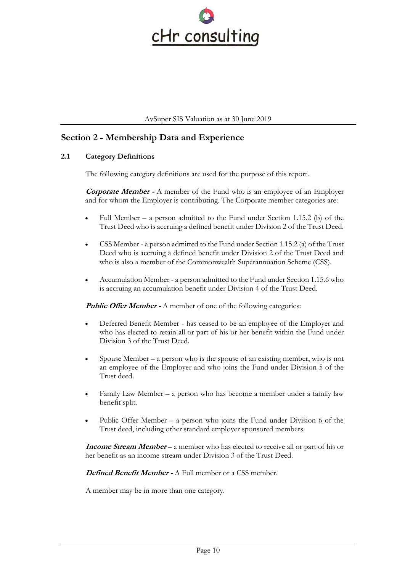

# **Section 2 - Membership Data and Experience**

# **2.1 Category Definitions**

The following category definitions are used for the purpose of this report.

**Corporate Member -** A member of the Fund who is an employee of an Employer and for whom the Employer is contributing. The Corporate member categories are:

- Full Member  $-$  a person admitted to the Fund under Section 1.15.2 (b) of the Trust Deed who is accruing a defined benefit under Division 2 of the Trust Deed.
- CSS Member a person admitted to the Fund under Section 1.15.2 (a) of the Trust Deed who is accruing a defined benefit under Division 2 of the Trust Deed and who is also a member of the Commonwealth Superannuation Scheme (CSS).
- Accumulation Member a person admitted to the Fund under Section 1.15.6 who is accruing an accumulation benefit under Division 4 of the Trust Deed.

**Public Offer Member -** A member of one of the following categories:

- Deferred Benefit Member has ceased to be an employee of the Employer and who has elected to retain all or part of his or her benefit within the Fund under Division 3 of the Trust Deed.
- Spouse Member a person who is the spouse of an existing member, who is not an employee of the Employer and who joins the Fund under Division 5 of the Trust deed.
- Family Law Member a person who has become a member under a family law benefit split.
- Public Offer Member a person who joins the Fund under Division 6 of the Trust deed, including other standard employer sponsored members.

**Income Stream Member** – a member who has elected to receive all or part of his or her benefit as an income stream under Division 3 of the Trust Deed.

**Defined Benefit Member -** A Full member or a CSS member.

A member may be in more than one category.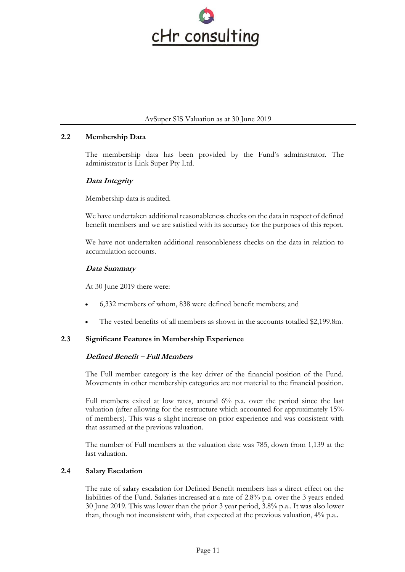

#### **2.2 Membership Data**

The membership data has been provided by the Fund's administrator. The administrator is Link Super Pty Ltd.

# **Data Integrity**

Membership data is audited.

We have undertaken additional reasonableness checks on the data in respect of defined benefit members and we are satisfied with its accuracy for the purposes of this report.

We have not undertaken additional reasonableness checks on the data in relation to accumulation accounts.

# **Data Summary**

At 30 June 2019 there were:

- 6,332 members of whom, 838 were defined benefit members; and
- The vested benefits of all members as shown in the accounts totalled \$2,199.8m.

# **2.3 Significant Features in Membership Experience**

#### **Defined Benefit – Full Members**

The Full member category is the key driver of the financial position of the Fund. Movements in other membership categories are not material to the financial position.

Full members exited at low rates, around 6% p.a. over the period since the last valuation (after allowing for the restructure which accounted for approximately 15% of members). This was a slight increase on prior experience and was consistent with that assumed at the previous valuation.

The number of Full members at the valuation date was 785, down from 1,139 at the last valuation.

#### **2.4 Salary Escalation**

The rate of salary escalation for Defined Benefit members has a direct effect on the liabilities of the Fund. Salaries increased at a rate of 2.8% p.a. over the 3 years ended 30 June 2019. This was lower than the prior 3 year period, 3.8% p.a.. It was also lower than, though not inconsistent with, that expected at the previous valuation, 4% p.a..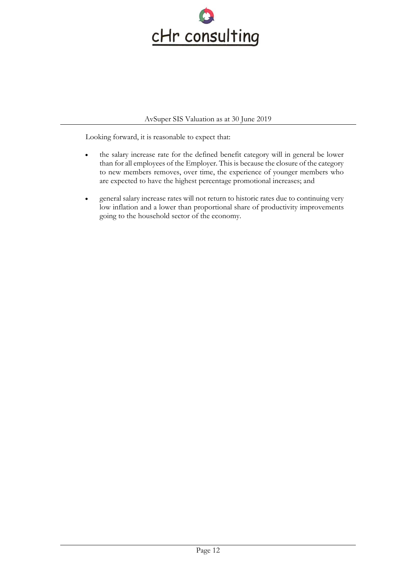

Looking forward, it is reasonable to expect that:

- the salary increase rate for the defined benefit category will in general be lower than for all employees of the Employer. This is because the closure of the category to new members removes, over time, the experience of younger members who are expected to have the highest percentage promotional increases; and
- general salary increase rates will not return to historic rates due to continuing very low inflation and a lower than proportional share of productivity improvements going to the household sector of the economy.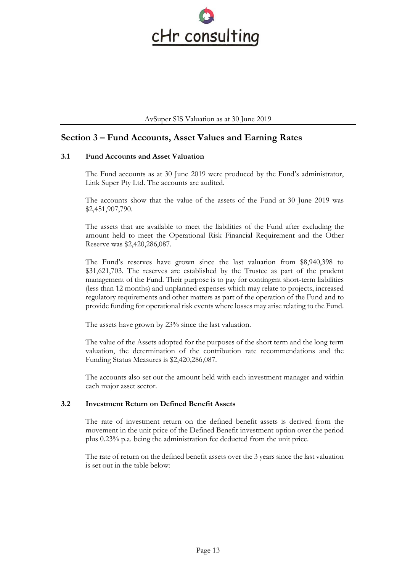

# **Section 3 – Fund Accounts, Asset Values and Earning Rates**

#### **3.1 Fund Accounts and Asset Valuation**

The Fund accounts as at 30 June 2019 were produced by the Fund's administrator, Link Super Pty Ltd. The accounts are audited.

The accounts show that the value of the assets of the Fund at 30 June 2019 was \$2,451,907,790.

The assets that are available to meet the liabilities of the Fund after excluding the amount held to meet the Operational Risk Financial Requirement and the Other Reserve was \$2,420,286,087.

The Fund's reserves have grown since the last valuation from \$8,940,398 to \$31,621,703. The reserves are established by the Trustee as part of the prudent management of the Fund. Their purpose is to pay for contingent short-term liabilities (less than 12 months) and unplanned expenses which may relate to projects, increased regulatory requirements and other matters as part of the operation of the Fund and to provide funding for operational risk events where losses may arise relating to the Fund.

The assets have grown by 23% since the last valuation.

The value of the Assets adopted for the purposes of the short term and the long term valuation, the determination of the contribution rate recommendations and the Funding Status Measures is \$2,420,286,087.

The accounts also set out the amount held with each investment manager and within each major asset sector.

#### **3.2 Investment Return on Defined Benefit Assets**

The rate of investment return on the defined benefit assets is derived from the movement in the unit price of the Defined Benefit investment option over the period plus 0.23% p.a. being the administration fee deducted from the unit price.

The rate of return on the defined benefit assets over the 3 years since the last valuation is set out in the table below: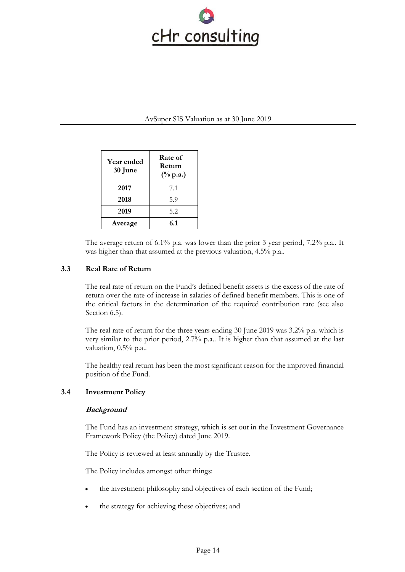

| <b>Year ended</b><br>30 June | Rate of<br>Return<br>$(\%$ p.a.) |
|------------------------------|----------------------------------|
| 2017                         | 7.1                              |
| 2018                         | 5.9                              |
| 2019                         | 5.2                              |
| Average                      | 6.1                              |

The average return of 6.1% p.a. was lower than the prior 3 year period, 7.2% p.a.. It was higher than that assumed at the previous valuation, 4.5% p.a..

# **3.3 Real Rate of Return**

The real rate of return on the Fund's defined benefit assets is the excess of the rate of return over the rate of increase in salaries of defined benefit members. This is one of the critical factors in the determination of the required contribution rate (see also Section 6.5).

The real rate of return for the three years ending 30 June 2019 was 3.2% p.a. which is very similar to the prior period, 2.7% p.a.. It is higher than that assumed at the last valuation, 0.5% p.a..

The healthy real return has been the most significant reason for the improved financial position of the Fund.

#### **3.4 Investment Policy**

#### **Background**

The Fund has an investment strategy, which is set out in the Investment Governance Framework Policy (the Policy) dated June 2019.

The Policy is reviewed at least annually by the Trustee.

The Policy includes amongst other things:

- the investment philosophy and objectives of each section of the Fund;
- the strategy for achieving these objectives; and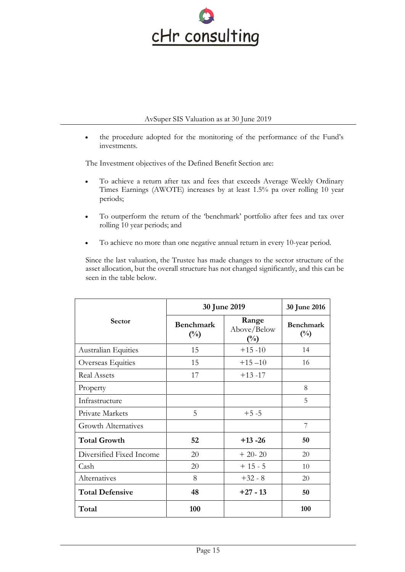

• the procedure adopted for the monitoring of the performance of the Fund's investments.

The Investment objectives of the Defined Benefit Section are:

- To achieve a return after tax and fees that exceeds Average Weekly Ordinary Times Earnings (AWOTE) increases by at least 1.5% pa over rolling 10 year periods;
- To outperform the return of the 'benchmark' portfolio after fees and tax over rolling 10 year periods; and
- To achieve no more than one negative annual return in every 10-year period.

Since the last valuation, the Trustee has made changes to the sector structure of the asset allocation, but the overall structure has not changed significantly, and this can be seen in the table below.

|                            | 30 June 2019                       | 30 June 2016                           |                            |
|----------------------------|------------------------------------|----------------------------------------|----------------------------|
| <b>Sector</b>              | <b>Benchmark</b><br>$\binom{0}{0}$ | Range<br>Above/Below<br>$\binom{0}{0}$ | <b>Benchmark</b><br>$(\%)$ |
| Australian Equities        | 15                                 | $+15 -10$                              | 14                         |
| Overseas Equities          | 15                                 | $+15 - 10$                             | 16                         |
| <b>Real Assets</b>         | 17                                 | $+13 -17$                              |                            |
| Property                   |                                    |                                        | 8                          |
| Infrastructure             |                                    |                                        | 5                          |
| Private Markets            | 5                                  | $+5 - 5$                               |                            |
| <b>Growth Alternatives</b> |                                    |                                        | 7                          |
| <b>Total Growth</b>        | 52                                 | $+13 - 26$                             | 50                         |
| Diversified Fixed Income   | 20                                 | $+20-20$                               | 20                         |
| Cash                       | 20                                 | $+15-5$                                | 10                         |
| Alternatives               | 8                                  | $+32 - 8$                              | 20                         |
| <b>Total Defensive</b>     | 48                                 | $+27 - 13$                             | 50                         |
| Total                      | 100                                |                                        | 100                        |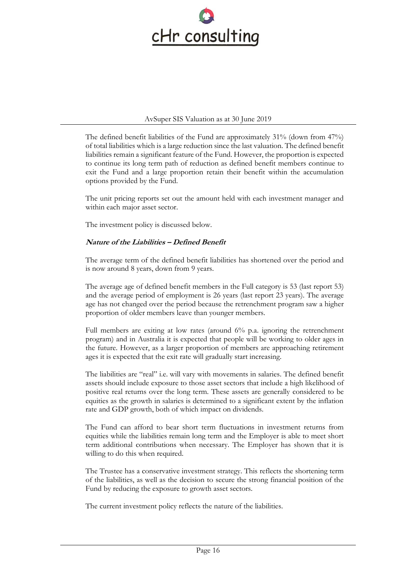

The defined benefit liabilities of the Fund are approximately 31% (down from 47%) of total liabilities which is a large reduction since the last valuation. The defined benefit liabilities remain a significant feature of the Fund. However, the proportion is expected to continue its long term path of reduction as defined benefit members continue to exit the Fund and a large proportion retain their benefit within the accumulation options provided by the Fund.

The unit pricing reports set out the amount held with each investment manager and within each major asset sector.

The investment policy is discussed below.

# **Nature of the Liabilities – Defined Benefit**

The average term of the defined benefit liabilities has shortened over the period and is now around 8 years, down from 9 years.

The average age of defined benefit members in the Full category is 53 (last report 53) and the average period of employment is 26 years (last report 23 years). The average age has not changed over the period because the retrenchment program saw a higher proportion of older members leave than younger members.

Full members are exiting at low rates (around 6% p.a. ignoring the retrenchment program) and in Australia it is expected that people will be working to older ages in the future. However, as a larger proportion of members are approaching retirement ages it is expected that the exit rate will gradually start increasing.

The liabilities are "real" i.e. will vary with movements in salaries. The defined benefit assets should include exposure to those asset sectors that include a high likelihood of positive real returns over the long term. These assets are generally considered to be equities as the growth in salaries is determined to a significant extent by the inflation rate and GDP growth, both of which impact on dividends.

The Fund can afford to bear short term fluctuations in investment returns from equities while the liabilities remain long term and the Employer is able to meet short term additional contributions when necessary. The Employer has shown that it is willing to do this when required.

The Trustee has a conservative investment strategy. This reflects the shortening term of the liabilities, as well as the decision to secure the strong financial position of the Fund by reducing the exposure to growth asset sectors.

The current investment policy reflects the nature of the liabilities.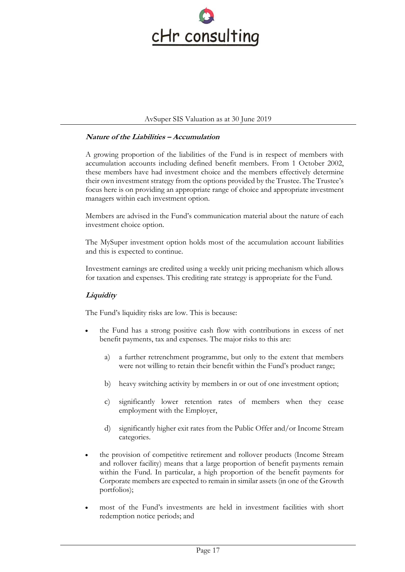

#### **Nature of the Liabilities – Accumulation**

A growing proportion of the liabilities of the Fund is in respect of members with accumulation accounts including defined benefit members. From 1 October 2002, these members have had investment choice and the members effectively determine their own investment strategy from the options provided by the Trustee. The Trustee's focus here is on providing an appropriate range of choice and appropriate investment managers within each investment option.

Members are advised in the Fund's communication material about the nature of each investment choice option.

The MySuper investment option holds most of the accumulation account liabilities and this is expected to continue.

Investment earnings are credited using a weekly unit pricing mechanism which allows for taxation and expenses. This crediting rate strategy is appropriate for the Fund.

# **Liquidity**

The Fund's liquidity risks are low. This is because:

- the Fund has a strong positive cash flow with contributions in excess of net benefit payments, tax and expenses. The major risks to this are:
	- a) a further retrenchment programme, but only to the extent that members were not willing to retain their benefit within the Fund's product range;
	- b) heavy switching activity by members in or out of one investment option;
	- c) significantly lower retention rates of members when they cease employment with the Employer,
	- d) significantly higher exit rates from the Public Offer and/or Income Stream categories.
- the provision of competitive retirement and rollover products (Income Stream and rollover facility) means that a large proportion of benefit payments remain within the Fund. In particular, a high proportion of the benefit payments for Corporate members are expected to remain in similar assets (in one of the Growth portfolios);
- most of the Fund's investments are held in investment facilities with short redemption notice periods; and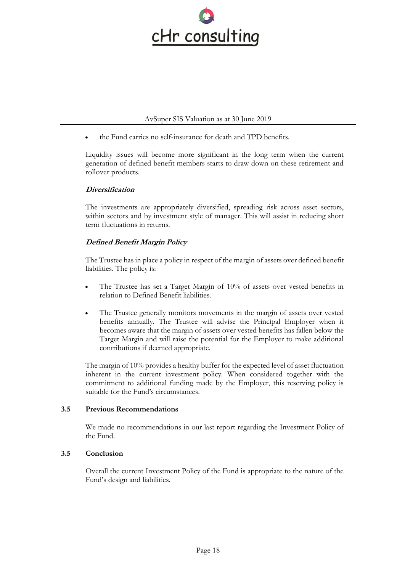

• the Fund carries no self-insurance for death and TPD benefits.

Liquidity issues will become more significant in the long term when the current generation of defined benefit members starts to draw down on these retirement and rollover products.

# **Diversification**

The investments are appropriately diversified, spreading risk across asset sectors, within sectors and by investment style of manager. This will assist in reducing short term fluctuations in returns.

# **Defined Benefit Margin Policy**

The Trustee has in place a policy in respect of the margin of assets over defined benefit liabilities. The policy is:

- The Trustee has set a Target Margin of 10% of assets over vested benefits in relation to Defined Benefit liabilities.
- The Trustee generally monitors movements in the margin of assets over vested benefits annually. The Trustee will advise the Principal Employer when it becomes aware that the margin of assets over vested benefits has fallen below the Target Margin and will raise the potential for the Employer to make additional contributions if deemed appropriate.

The margin of 10% provides a healthy buffer for the expected level of asset fluctuation inherent in the current investment policy. When considered together with the commitment to additional funding made by the Employer, this reserving policy is suitable for the Fund's circumstances.

# **3.5 Previous Recommendations**

We made no recommendations in our last report regarding the Investment Policy of the Fund.

# **3.5 Conclusion**

Overall the current Investment Policy of the Fund is appropriate to the nature of the Fund's design and liabilities.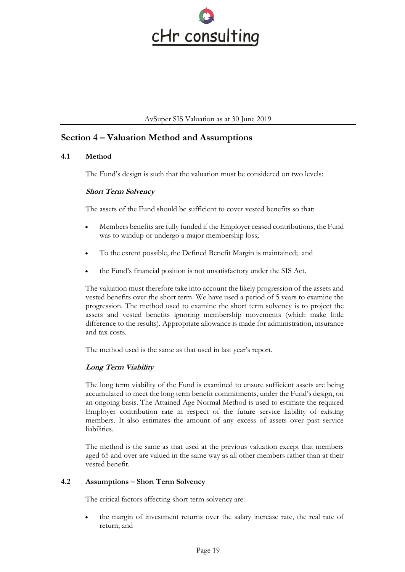

# **Section 4 – Valuation Method and Assumptions**

# **4.1 Method**

The Fund's design is such that the valuation must be considered on two levels:

#### **Short Term Solvency**

The assets of the Fund should be sufficient to cover vested benefits so that:

- Members benefits are fully funded if the Employer ceased contributions, the Fund was to windup or undergo a major membership loss;
- To the extent possible, the Defined Benefit Margin is maintained; and
- the Fund's financial position is not unsatisfactory under the SIS Act.

The valuation must therefore take into account the likely progression of the assets and vested benefits over the short term. We have used a period of 5 years to examine the progression. The method used to examine the short term solvency is to project the assets and vested benefits ignoring membership movements (which make little difference to the results). Appropriate allowance is made for administration, insurance and tax costs.

The method used is the same as that used in last year's report.

# **Long Term Viability**

The long term viability of the Fund is examined to ensure sufficient assets are being accumulated to meet the long term benefit commitments, under the Fund's design, on an ongoing basis. The Attained Age Normal Method is used to estimate the required Employer contribution rate in respect of the future service liability of existing members. It also estimates the amount of any excess of assets over past service liabilities.

The method is the same as that used at the previous valuation except that members aged 65 and over are valued in the same way as all other members rather than at their vested benefit.

# **4.2 Assumptions – Short Term Solvency**

The critical factors affecting short term solvency are:

the margin of investment returns over the salary increase rate, the real rate of return; and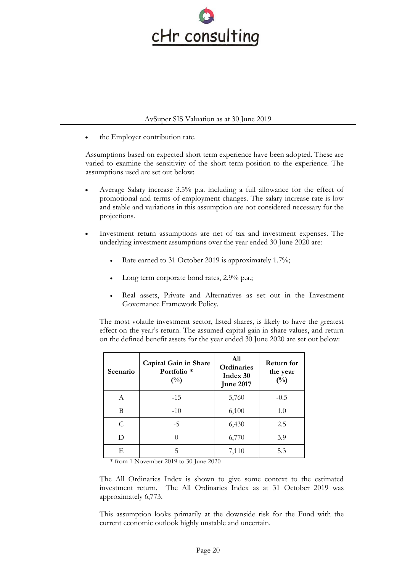

the Employer contribution rate.

Assumptions based on expected short term experience have been adopted. These are varied to examine the sensitivity of the short term position to the experience. The assumptions used are set out below:

- Average Salary increase 3.5% p.a. including a full allowance for the effect of promotional and terms of employment changes. The salary increase rate is low and stable and variations in this assumption are not considered necessary for the projections.
- Investment return assumptions are net of tax and investment expenses. The underlying investment assumptions over the year ended 30 June 2020 are:
	- Rate earned to 31 October 2019 is approximately 1.7%;
	- Long term corporate bond rates, 2.9% p.a.;
	- Real assets, Private and Alternatives as set out in the Investment Governance Framework Policy.

The most volatile investment sector, listed shares, is likely to have the greatest effect on the year's return. The assumed capital gain in share values, and return on the defined benefit assets for the year ended 30 June 2020 are set out below:

| Scenario | Capital Gain in Share<br>Portfolio <sup>*</sup><br>$\binom{0}{0}$ | A11<br>Ordinaries<br>Index 30<br><b>June 2017</b> | <b>Return for</b><br>the year<br>$(^{0}/_{0})$ |
|----------|-------------------------------------------------------------------|---------------------------------------------------|------------------------------------------------|
| A        | $-1.5$                                                            | 5,760                                             | $-0.5$                                         |
| В        | $-10$                                                             | 6,100                                             | 1.0                                            |
| C        | $-5$                                                              | 6,430                                             | 2.5                                            |
| D        |                                                                   | 6,770                                             | 3.9                                            |
| E        | 5                                                                 | 7,110                                             | 5.3                                            |

\* from 1 November 2019 to 30 June 2020

The All Ordinaries Index is shown to give some context to the estimated investment return. The All Ordinaries Index as at 31 October 2019 was approximately 6,773.

This assumption looks primarily at the downside risk for the Fund with the current economic outlook highly unstable and uncertain.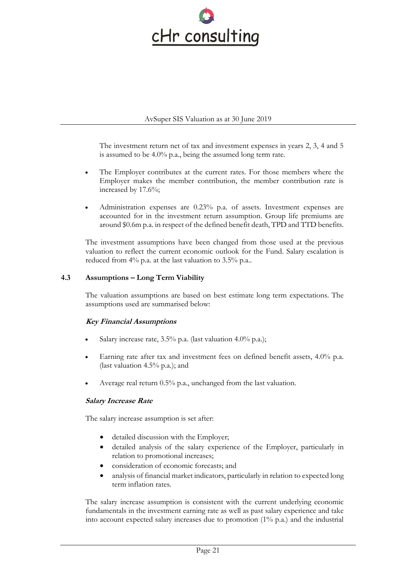

The investment return net of tax and investment expenses in years 2, 3, 4 and 5 is assumed to be 4.0% p.a., being the assumed long term rate.

- The Employer contributes at the current rates. For those members where the Employer makes the member contribution, the member contribution rate is increased by 17.6%;
- Administration expenses are 0.23% p.a. of assets. Investment expenses are accounted for in the investment return assumption. Group life premiums are around \$0.6m p.a. in respect of the defined benefit death, TPD and TTD benefits.

The investment assumptions have been changed from those used at the previous valuation to reflect the current economic outlook for the Fund. Salary escalation is reduced from 4% p.a. at the last valuation to 3.5% p.a..

# **4.3 Assumptions – Long Term Viability**

The valuation assumptions are based on best estimate long term expectations. The assumptions used are summarised below:

# **Key Financial Assumptions**

- Salary increase rate,  $3.5\%$  p.a. (last valuation 4.0% p.a.);
- Earning rate after tax and investment fees on defined benefit assets, 4.0% p.a. (last valuation 4.5% p.a.); and
- Average real return 0.5% p.a., unchanged from the last valuation.

# **Salary Increase Rate**

The salary increase assumption is set after:

- detailed discussion with the Employer;
- detailed analysis of the salary experience of the Employer, particularly in relation to promotional increases;
- consideration of economic forecasts; and
- analysis of financial market indicators, particularly in relation to expected long term inflation rates.

The salary increase assumption is consistent with the current underlying economic fundamentals in the investment earning rate as well as past salary experience and take into account expected salary increases due to promotion (1% p.a.) and the industrial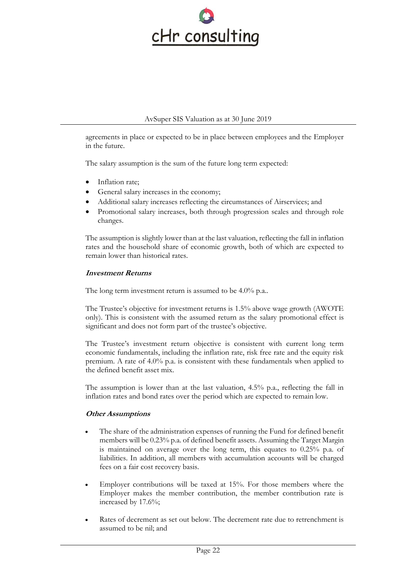

agreements in place or expected to be in place between employees and the Employer in the future.

The salary assumption is the sum of the future long term expected:

- Inflation rate;
- General salary increases in the economy;
- Additional salary increases reflecting the circumstances of Airservices; and
- Promotional salary increases, both through progression scales and through role changes.

The assumption is slightly lower than at the last valuation, reflecting the fall in inflation rates and the household share of economic growth, both of which are expected to remain lower than historical rates.

# **Investment Returns**

The long term investment return is assumed to be 4.0% p.a..

The Trustee's objective for investment returns is 1.5% above wage growth (AWOTE only). This is consistent with the assumed return as the salary promotional effect is significant and does not form part of the trustee's objective.

The Trustee's investment return objective is consistent with current long term economic fundamentals, including the inflation rate, risk free rate and the equity risk premium. A rate of 4.0% p.a. is consistent with these fundamentals when applied to the defined benefit asset mix.

The assumption is lower than at the last valuation, 4.5% p.a., reflecting the fall in inflation rates and bond rates over the period which are expected to remain low.

# **Other Assumptions**

- The share of the administration expenses of running the Fund for defined benefit members will be 0.23% p.a. of defined benefit assets. Assuming the Target Margin is maintained on average over the long term, this equates to 0.25% p.a. of liabilities. In addition, all members with accumulation accounts will be charged fees on a fair cost recovery basis.
- Employer contributions will be taxed at 15%. For those members where the Employer makes the member contribution, the member contribution rate is increased by 17.6%;
- Rates of decrement as set out below. The decrement rate due to retrenchment is assumed to be nil; and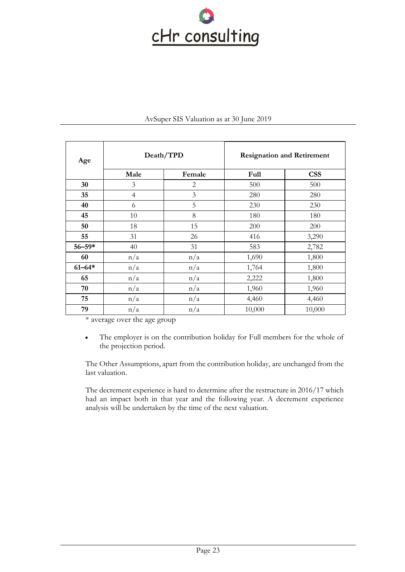

| Age        | Death/TPD      |                | <b>Resignation and Retirement</b> |            |
|------------|----------------|----------------|-----------------------------------|------------|
|            | Male           | Female         | Full                              | <b>CSS</b> |
| 30         | 3              | $\mathbf{2}$   | 500                               | 500        |
| 35         | $\overline{4}$ | $\mathfrak{Z}$ | 280                               | 280        |
| 40         | 6              | 5              | 230                               | 230        |
| 45         | 10             | 8              | 180                               | 180        |
| 50         | 18             | 15             | 200                               | 200        |
| 55         | 31             | 26             | 416                               | 3,290      |
| $56 - 59*$ | 40             | 31             | 583                               | 2,782      |
| 60         | n/a            | n/a            | 1,690                             | 1,800      |
| $61 - 64*$ | n/a            | n/a            | 1,764                             | 1,800      |
| 65         | n/a            | n/a            | 2,222                             | 1,800      |
| 70         | n/a            | n/a            | 1,960                             | 1,960      |
| 75         | n/a            | n/a            | 4,460                             | 4,460      |
| 79         | n/a            | n/a            | 10,000                            | 10,000     |

\* average over the age group

• The employer is on the contribution holiday for Full members for the whole of the projection period.

The Other Assumptions, apart from the contribution holiday, are unchanged from the last valuation.

The decrement experience is hard to determine after the restructure in 2016/17 which had an impact both in that year and the following year. A decrement experience analysis will be undertaken by the time of the next valuation.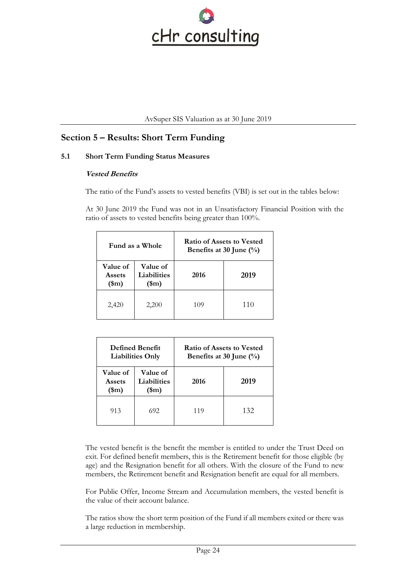

# **Section 5 – Results: Short Term Funding**

# **5.1 Short Term Funding Status Measures**

# **Vested Benefits**

The ratio of the Fund's assets to vested benefits (VBI) is set out in the tables below:

At 30 June 2019 the Fund was not in an Unsatisfactory Financial Position with the ratio of assets to vested benefits being greater than 100%.

| Fund as a Whole                                  |                                                |      | <b>Ratio of Assets to Vested</b><br>Benefits at 30 June $(\%)$ |
|--------------------------------------------------|------------------------------------------------|------|----------------------------------------------------------------|
| <b>Value of</b><br><b>Assets</b><br>$(\text{m})$ | Value of<br><b>Liabilities</b><br>$(\text{m})$ | 2016 | 2019                                                           |
| 2,420                                            | 2,200                                          | 109  | 110                                                            |

| <b>Defined Benefit</b><br><b>Liabilities Only</b> |                                         |      | <b>Ratio of Assets to Vested</b><br>Benefits at 30 June $(\%)$ |
|---------------------------------------------------|-----------------------------------------|------|----------------------------------------------------------------|
| <b>Value of</b><br>Assets<br>$(\text{m})$         | Value of<br>Liabilities<br>$(\text{m})$ | 2016 | 2019                                                           |
| 913                                               | 692                                     | 119  | 132                                                            |

The vested benefit is the benefit the member is entitled to under the Trust Deed on exit. For defined benefit members, this is the Retirement benefit for those eligible (by age) and the Resignation benefit for all others. With the closure of the Fund to new members, the Retirement benefit and Resignation benefit are equal for all members.

For Public Offer, Income Stream and Accumulation members, the vested benefit is the value of their account balance.

The ratios show the short term position of the Fund if all members exited or there was a large reduction in membership.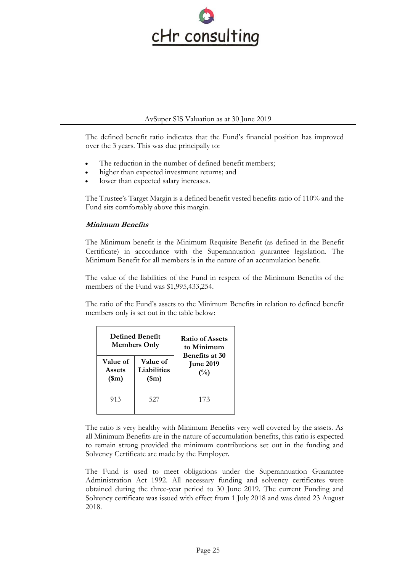

The defined benefit ratio indicates that the Fund's financial position has improved over the 3 years. This was due principally to:

- The reduction in the number of defined benefit members;
- higher than expected investment returns; and
- lower than expected salary increases.

The Trustee's Target Margin is a defined benefit vested benefits ratio of 110% and the Fund sits comfortably above this margin.

# **Minimum Benefits**

The Minimum benefit is the Minimum Requisite Benefit (as defined in the Benefit Certificate) in accordance with the Superannuation guarantee legislation. The Minimum Benefit for all members is in the nature of an accumulation benefit.

The value of the liabilities of the Fund in respect of the Minimum Benefits of the members of the Fund was \$1,995,433,254.

The ratio of the Fund's assets to the Minimum Benefits in relation to defined benefit members only is set out in the table below:

|                                                                                      | <b>Defined Benefit</b><br><b>Members Only</b> | <b>Ratio of Assets</b><br>to Minimum             |  |
|--------------------------------------------------------------------------------------|-----------------------------------------------|--------------------------------------------------|--|
| Value of<br><b>Value of</b><br>Liabilities<br>Assets<br>$(\text{m})$<br>$(\text{m})$ |                                               | <b>Benefits at 30</b><br><b>June 2019</b><br>(%) |  |
| 913                                                                                  | 527                                           | 173                                              |  |

The ratio is very healthy with Minimum Benefits very well covered by the assets. As all Minimum Benefits are in the nature of accumulation benefits, this ratio is expected to remain strong provided the minimum contributions set out in the funding and Solvency Certificate are made by the Employer.

The Fund is used to meet obligations under the Superannuation Guarantee Administration Act 1992. All necessary funding and solvency certificates were obtained during the three-year period to 30 June 2019. The current Funding and Solvency certificate was issued with effect from 1 July 2018 and was dated 23 August 2018.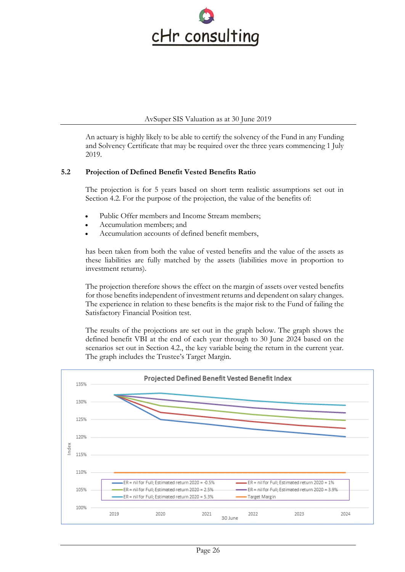

An actuary is highly likely to be able to certify the solvency of the Fund in any Funding and Solvency Certificate that may be required over the three years commencing 1 July 2019.

# **5.2 Projection of Defined Benefit Vested Benefits Ratio**

The projection is for 5 years based on short term realistic assumptions set out in Section 4.2. For the purpose of the projection, the value of the benefits of:

- Public Offer members and Income Stream members;
- Accumulation members; and
- Accumulation accounts of defined benefit members,

has been taken from both the value of vested benefits and the value of the assets as these liabilities are fully matched by the assets (liabilities move in proportion to investment returns).

The projection therefore shows the effect on the margin of assets over vested benefits for those benefits independent of investment returns and dependent on salary changes. The experience in relation to these benefits is the major risk to the Fund of failing the Satisfactory Financial Position test.

The results of the projections are set out in the graph below. The graph shows the defined benefit VBI at the end of each year through to 30 June 2024 based on the scenarios set out in Section 4.2., the key variable being the return in the current year. The graph includes the Trustee's Target Margin.

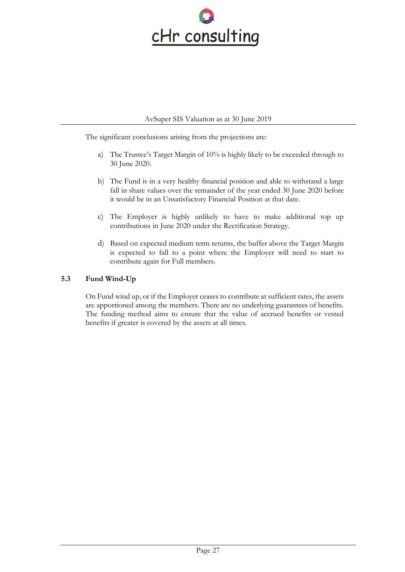

The significant conclusions arising from the projections are:

- a) The Trustee's Target Margin of 10% is highly likely to be exceeded through to 30 June 2020.
- b) The Fund is in a very healthy financial position and able to withstand a large fall in share values over the remainder of the year ended 30 June 2020 before it would be in an Unsatisfactory Financial Position at that date.
- c) The Employer is highly unlikely to have to make additional top up contributions in June 2020 under the Rectification Strategy.
- d) Based on expected medium term returns, the buffer above the Target Margin is expected to fall to a point where the Employer will need to start to contribute again for Full members.

# **5.3 Fund Wind-Up**

On Fund wind up, or if the Employer ceases to contribute at sufficient rates, the assets are apportioned among the members. There are no underlying guarantees of benefits. The funding method aims to ensure that the value of accrued benefits or vested benefits if greater is covered by the assets at all times.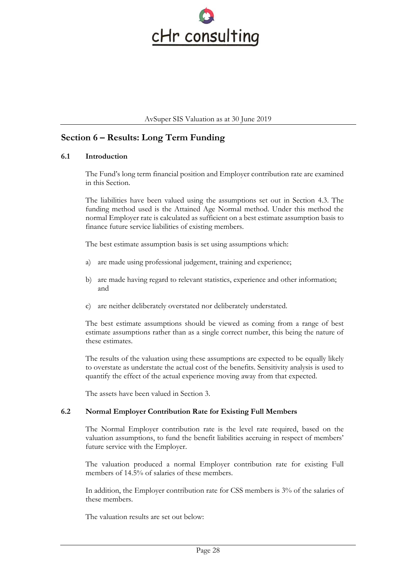

# **Section 6 – Results: Long Term Funding**

#### **6.1 Introduction**

The Fund's long term financial position and Employer contribution rate are examined in this Section.

The liabilities have been valued using the assumptions set out in Section 4.3. The funding method used is the Attained Age Normal method. Under this method the normal Employer rate is calculated as sufficient on a best estimate assumption basis to finance future service liabilities of existing members.

The best estimate assumption basis is set using assumptions which:

- a) are made using professional judgement, training and experience;
- b) are made having regard to relevant statistics, experience and other information; and
- c) are neither deliberately overstated nor deliberately understated.

The best estimate assumptions should be viewed as coming from a range of best estimate assumptions rather than as a single correct number, this being the nature of these estimates.

The results of the valuation using these assumptions are expected to be equally likely to overstate as understate the actual cost of the benefits. Sensitivity analysis is used to quantify the effect of the actual experience moving away from that expected.

The assets have been valued in Section 3.

# **6.2 Normal Employer Contribution Rate for Existing Full Members**

The Normal Employer contribution rate is the level rate required, based on the valuation assumptions, to fund the benefit liabilities accruing in respect of members' future service with the Employer.

The valuation produced a normal Employer contribution rate for existing Full members of 14.5% of salaries of these members.

In addition, the Employer contribution rate for CSS members is 3% of the salaries of these members.

The valuation results are set out below: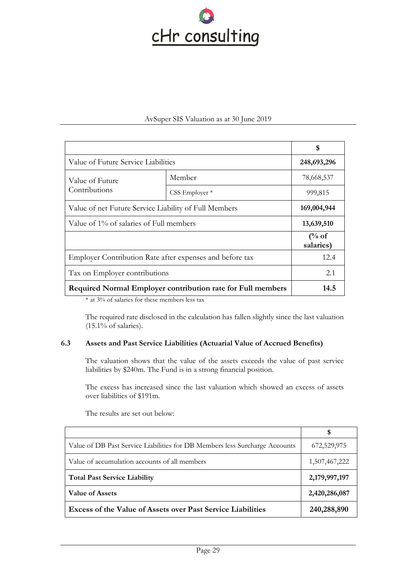

|                                                             |                | \$                            |
|-------------------------------------------------------------|----------------|-------------------------------|
| Value of Future Service Liabilities                         |                | 248,693,296                   |
| Value of Future                                             | Member         | 78,668,537                    |
| Contributions                                               | CSS Employer * | 999,815                       |
| Value of net Future Service Liability of Full Members       | 169,004,944    |                               |
| Value of 1% of salaries of Full members                     |                | 13,639,510                    |
|                                                             |                | $\frac{6}{6}$ of<br>salaries) |
| Employer Contribution Rate after expenses and before tax    |                | 12.4                          |
| Tax on Employer contributions                               |                | 2.1                           |
| Required Normal Employer contribution rate for Full members |                | 14.5                          |

\* at 3% of salaries for these members less tax

The required rate disclosed in the calculation has fallen slightly since the last valuation  $(15.1\% \text{ of salaries}).$ 

#### **6.3 Assets and Past Service Liabilities (Actuarial Value of Accrued Benefits)**

The valuation shows that the value of the assets exceeds the value of past service liabilities by \$240m. The Fund is in a strong financial position.

The excess has increased since the last valuation which showed an excess of assets over liabilities of \$191m.

|                                                                             | S             |
|-----------------------------------------------------------------------------|---------------|
| Value of DB Past Service Liabilities for DB Members less Surcharge Accounts | 672,529,975   |
| Value of accumulation accounts of all members                               | 1,507,467,222 |
| <b>Total Past Service Liability</b>                                         | 2,179,997,197 |
| <b>Value of Assets</b>                                                      | 2,420,286,087 |
| <b>Excess of the Value of Assets over Past Service Liabilities</b>          | 240,288,890   |

The results are set out below: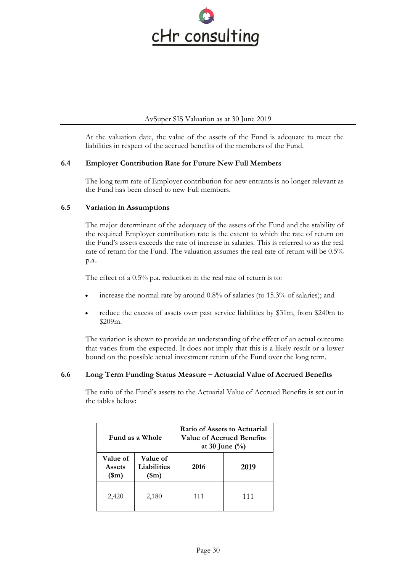

At the valuation date, the value of the assets of the Fund is adequate to meet the liabilities in respect of the accrued benefits of the members of the Fund.

# **6.4 Employer Contribution Rate for Future New Full Members**

The long term rate of Employer contribution for new entrants is no longer relevant as the Fund has been closed to new Full members.

# **6.5 Variation in Assumptions**

The major determinant of the adequacy of the assets of the Fund and the stability of the required Employer contribution rate is the extent to which the rate of return on the Fund's assets exceeds the rate of increase in salaries. This is referred to as the real rate of return for the Fund. The valuation assumes the real rate of return will be 0.5% p.a..

The effect of a 0.5% p.a. reduction in the real rate of return is to:

- increase the normal rate by around 0.8% of salaries (to 15.3% of salaries); and
- reduce the excess of assets over past service liabilities by \$31m, from \$240m to \$209m.

The variation is shown to provide an understanding of the effect of an actual outcome that varies from the expected. It does not imply that this is a likely result or a lower bound on the possible actual investment return of the Fund over the long term.

# **6.6 Long Term Funding Status Measure – Actuarial Value of Accrued Benefits**

The ratio of the Fund's assets to the Actuarial Value of Accrued Benefits is set out in the tables below:

| Fund as a Whole                           |                                         | Ratio of Assets to Actuarial<br>Value of Accrued Benefits<br>at 30 June $(\%)$ |      |
|-------------------------------------------|-----------------------------------------|--------------------------------------------------------------------------------|------|
| Value of<br><b>Assets</b><br>$(\text{m})$ | Value of<br>Liabilities<br>$(\text{m})$ | 2016                                                                           | 2019 |
| 2,420                                     | 2,180                                   | 111                                                                            | 111  |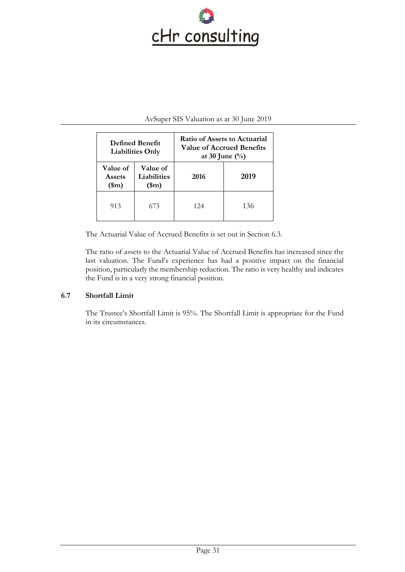

| <b>Defined Benefit</b><br><b>Liabilities Only</b> |                                         | Ratio of Assets to Actuarial<br>Value of Accrued Benefits<br>at 30 June $(\%)$ |      |
|---------------------------------------------------|-----------------------------------------|--------------------------------------------------------------------------------|------|
| <b>Value of</b><br><b>Assets</b><br>$(\text{m})$  | Value of<br>Liabilities<br>$(\text{m})$ | 2016                                                                           | 2019 |
| 913                                               | 673                                     | 124                                                                            | 136  |

The Actuarial Value of Accrued Benefits is set out in Section 6.3.

The ratio of assets to the Actuarial Value of Accrued Benefits has increased since the last valuation. The Fund's experience has had a positive impact on the financial position, particularly the membership reduction. The ratio is very healthy and indicates the Fund is in a very strong financial position.

# **6.7 Shortfall Limit**

The Trustee's Shortfall Limit is 95%. The Shortfall Limit is appropriate for the Fund in its circumstances.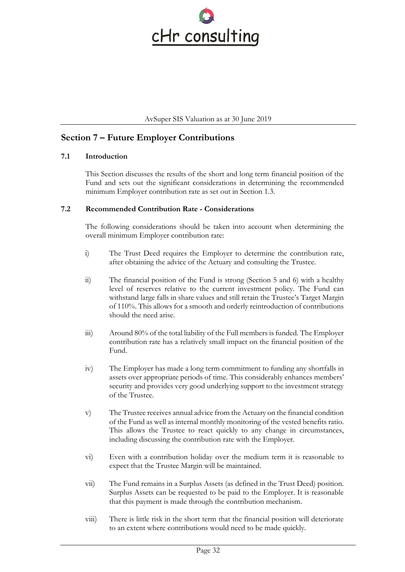

# **Section 7 – Future Employer Contributions**

# **7.1 Introduction**

This Section discusses the results of the short and long term financial position of the Fund and sets out the significant considerations in determining the recommended minimum Employer contribution rate as set out in Section 1.3.

# **7.2 Recommended Contribution Rate - Considerations**

The following considerations should be taken into account when determining the overall minimum Employer contribution rate:

- i) The Trust Deed requires the Employer to determine the contribution rate, after obtaining the advice of the Actuary and consulting the Trustee.
- ii) The financial position of the Fund is strong (Section 5 and 6) with a healthy level of reserves relative to the current investment policy. The Fund can withstand large falls in share values and still retain the Trustee's Target Margin of 110%. This allows for a smooth and orderly reintroduction of contributions should the need arise.
- iii) Around 80% of the total liability of the Full members is funded. The Employer contribution rate has a relatively small impact on the financial position of the Fund.
- iv) The Employer has made a long term commitment to funding any shortfalls in assets over appropriate periods of time. This considerably enhances members' security and provides very good underlying support to the investment strategy of the Trustee.
- v) The Trustee receives annual advice from the Actuary on the financial condition of the Fund as well as internal monthly monitoring of the vested benefits ratio. This allows the Trustee to react quickly to any change in circumstances, including discussing the contribution rate with the Employer.
- vi) Even with a contribution holiday over the medium term it is reasonable to expect that the Trustee Margin will be maintained.
- vii) The Fund remains in a Surplus Assets (as defined in the Trust Deed) position. Surplus Assets can be requested to be paid to the Employer. It is reasonable that this payment is made through the contribution mechanism.
- viii) There is little risk in the short term that the financial position will deteriorate to an extent where contributions would need to be made quickly.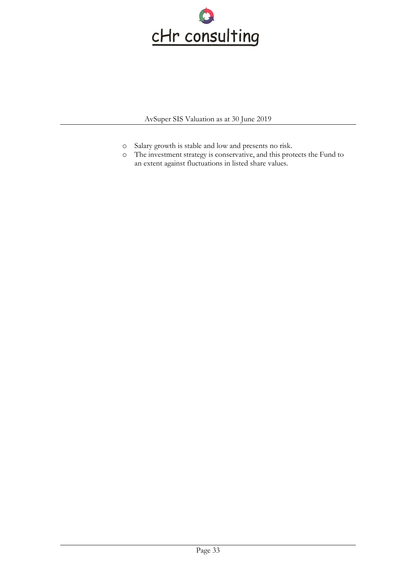

- o Salary growth is stable and low and presents no risk.
- o The investment strategy is conservative, and this protects the Fund to an extent against fluctuations in listed share values.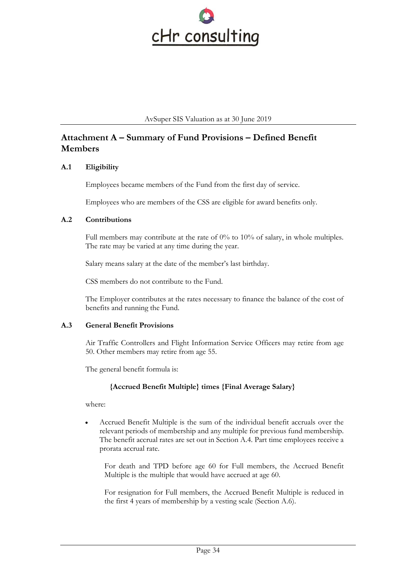

# **Attachment A – Summary of Fund Provisions – Defined Benefit Members**

# **A.1 Eligibility**

Employees became members of the Fund from the first day of service.

Employees who are members of the CSS are eligible for award benefits only.

# **A.2 Contributions**

Full members may contribute at the rate of  $0\%$  to  $10\%$  of salary, in whole multiples. The rate may be varied at any time during the year.

Salary means salary at the date of the member's last birthday.

CSS members do not contribute to the Fund.

The Employer contributes at the rates necessary to finance the balance of the cost of benefits and running the Fund.

# **A.3 General Benefit Provisions**

Air Traffic Controllers and Flight Information Service Officers may retire from age 50. Other members may retire from age 55.

The general benefit formula is:

# **{Accrued Benefit Multiple} times {Final Average Salary}**

where:

• Accrued Benefit Multiple is the sum of the individual benefit accruals over the relevant periods of membership and any multiple for previous fund membership. The benefit accrual rates are set out in Section A.4. Part time employees receive a prorata accrual rate.

For death and TPD before age 60 for Full members, the Accrued Benefit Multiple is the multiple that would have accrued at age 60.

For resignation for Full members, the Accrued Benefit Multiple is reduced in the first 4 years of membership by a vesting scale (Section A.6).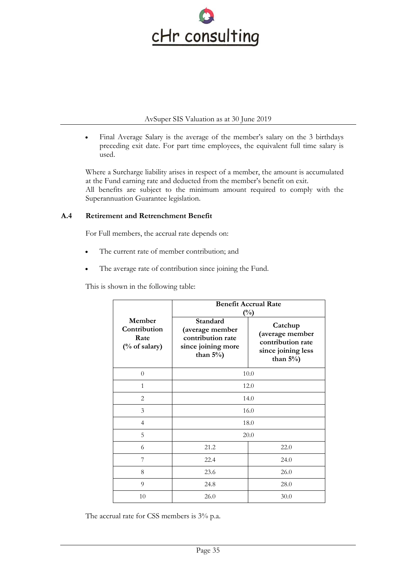

• Final Average Salary is the average of the member's salary on the 3 birthdays preceding exit date. For part time employees, the equivalent full time salary is used.

Where a Surcharge liability arises in respect of a member, the amount is accumulated at the Fund earning rate and deducted from the member's benefit on exit. All benefits are subject to the minimum amount required to comply with the Superannuation Guarantee legislation.

# **A.4 Retirement and Retrenchment Benefit**

For Full members, the accrual rate depends on:

- The current rate of member contribution; and
- The average rate of contribution since joining the Fund.

This is shown in the following table:

|                                                 | <b>Benefit Accrual Rate</b><br>$(\%)$                                                  |                                                                                       |  |
|-------------------------------------------------|----------------------------------------------------------------------------------------|---------------------------------------------------------------------------------------|--|
| Member<br>Contribution<br>Rate<br>(% of salary) | Standard<br>(average member<br>contribution rate<br>since joining more<br>than $5\%$ ) | Catchup<br>(average member<br>contribution rate<br>since joining less<br>than $5\%$ ) |  |
| $\overline{0}$                                  | 10.0                                                                                   |                                                                                       |  |
| $\mathbf{1}$                                    | 12.0                                                                                   |                                                                                       |  |
| 2                                               | 14.0                                                                                   |                                                                                       |  |
| 3                                               | 16.0                                                                                   |                                                                                       |  |
| $\overline{4}$                                  | 18.0                                                                                   |                                                                                       |  |
| 5                                               | 20.0                                                                                   |                                                                                       |  |
| 6                                               | 21.2                                                                                   | 22.0                                                                                  |  |
| 7                                               | 22.4                                                                                   | 24.0                                                                                  |  |
| 8                                               | 23.6<br>26.0                                                                           |                                                                                       |  |
| 9                                               | 24.8<br>28.0                                                                           |                                                                                       |  |
| 10                                              | 26.0<br>30.0                                                                           |                                                                                       |  |

The accrual rate for CSS members is 3% p.a.